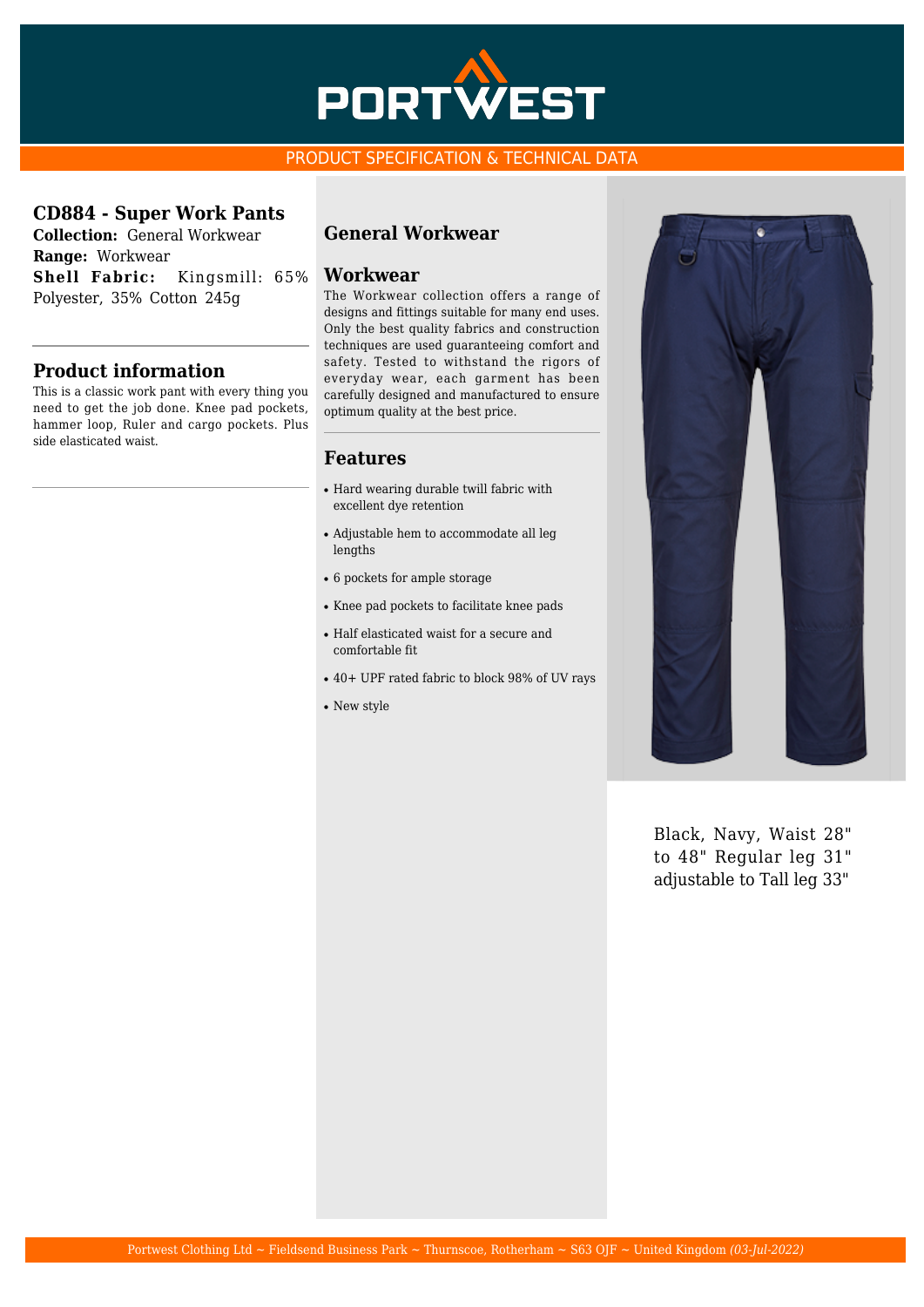

## PRODUCT SPECIFICATION & TECHNICAL DATA

### **CD884 - Super Work Pants**

**Collection:** General Workwear **Range:** Workwear **Shell Fabric:** Kingsmill: 65% Polyester, 35% Cotton 245g

## **Product information**

This is a classic work pant with every thing you need to get the job done. Knee pad pockets, hammer loop, Ruler and cargo pockets. Plus side elasticated waist.

# **General Workwear**

#### **Workwear**

The Workwear collection offers a range of designs and fittings suitable for many end uses. Only the best quality fabrics and construction techniques are used guaranteeing comfort and safety. Tested to withstand the rigors of everyday wear, each garment has been carefully designed and manufactured to ensure optimum quality at the best price.

### **Features**

- Hard wearing durable twill fabric with excellent dye retention
- Adjustable hem to accommodate all leg lengths
- $\cdot$  6 pockets for ample storage
- Knee pad pockets to facilitate knee pads
- Half elasticated waist for a secure and comfortable fit
- 40+ UPF rated fabric to block 98% of UV rays
- New style



Black, Navy, Waist 28" to 48" Regular leg 31" adjustable to Tall leg 33"